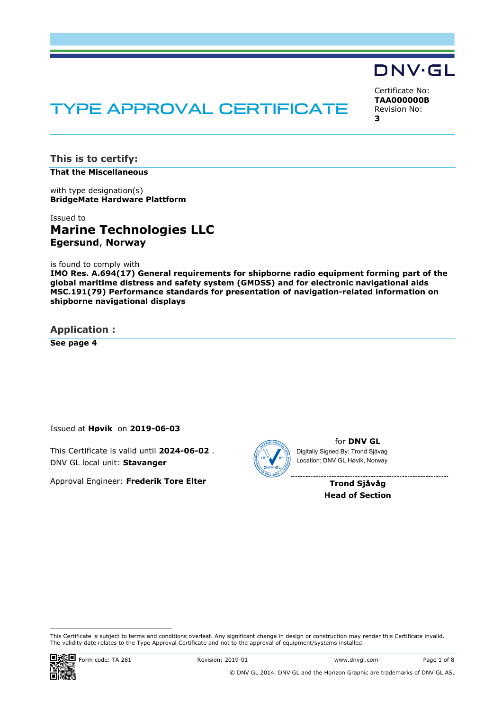# TYPE APPROVAL CERTIFICATE

Certificate No: **TAA000000B** Revision No: **3** 

DNV·GL

**This is to certify:** 

**That the Miscellaneous**

with type designation(s) **BridgeMate Hardware Plattform**

# Issued to **Marine Technologies LLC Egersund**, **Norway**

is found to comply with

**IMO Res. A.694(17) General requirements for shipborne radio equipment forming part of the global maritime distress and safety system (GMDSS) and for electronic navigational aids MSC.191(79) Performance standards for presentation of navigation-related information on shipborne navigational displays** 

**Application :** 

**See page 4**

Issued at **Høvik** on **2019-06-03**

This Certificate is valid until **2024-06-02** . DNV GL local unit: **Stavanger**

Approval Engineer: **Frederik Tore Elter**



for **DNV GL** Digitally Signed By: Trond Sjåvåg Location: DNV GL Høvik, Norway

> **Trond Sjåvåg Head of Section**

 This Certificate is subject to terms and conditions overleaf. Any significant change in design or construction may render this Certificate invalid. The validity date relates to the Type Approval Certificate and not to the approval of equipment/systems installed.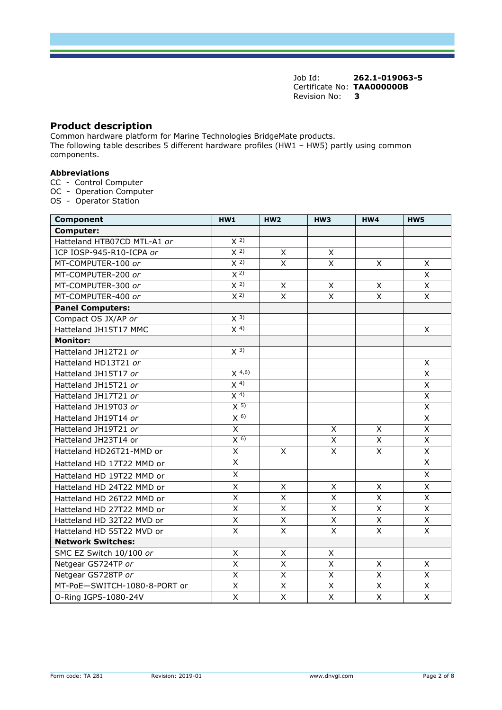## **Product description**

Common hardware platform for Marine Technologies BridgeMate products. The following table describes 5 different hardware profiles (HW1 – HW5) partly using common components.

#### **Abbreviations**

- CC Control Computer
- OC Operation Computer
- OS Operator Station

| <b>Component</b>             | HW1                     | HW2                     | HW <sub>3</sub>         | HW4                     | HW <sub>5</sub>         |
|------------------------------|-------------------------|-------------------------|-------------------------|-------------------------|-------------------------|
| Computer:                    |                         |                         |                         |                         |                         |
| Hatteland HTB07CD MTL-A1 or  | $\overline{X}$ 2)       |                         |                         |                         |                         |
| ICP IOSP-945-R10-ICPA or     | X <sup>2</sup>          | $\mathsf{x}$            | $\mathsf{X}$            |                         |                         |
| MT-COMPUTER-100 or           | X <sup>2</sup>          | $\mathsf{x}$            | X                       | $\mathsf{x}$            | $\times$                |
| MT-COMPUTER-200 or           | X <sup>2</sup>          |                         |                         |                         | X                       |
| MT-COMPUTER-300 or           | X <sup>2</sup>          | X                       | X                       | X                       | $\mathsf{x}$            |
| MT-COMPUTER-400 or           | $\overline{X}$ 2)       | $\overline{\mathsf{x}}$ | $\overline{X}$          | $\overline{\mathsf{x}}$ | $\overline{\mathsf{x}}$ |
| <b>Panel Computers:</b>      |                         |                         |                         |                         |                         |
| Compact OS JX/AP or          | $X^{3}$                 |                         |                         |                         |                         |
| Hatteland JH15T17 MMC        | $X^{4}$                 |                         |                         |                         | $\overline{\mathsf{x}}$ |
| <b>Monitor:</b>              |                         |                         |                         |                         |                         |
| Hatteland JH12T21 or         | $\overline{X}$ 3)       |                         |                         |                         |                         |
| Hatteland HD13T21 or         |                         |                         |                         |                         | $\pmb{\times}$          |
| Hatteland JH15T17 or         | $X^{4,6}$               |                         |                         |                         | $\overline{\mathsf{x}}$ |
| Hatteland JH15T21 or         | X <sup>4</sup>          |                         |                         |                         | $\overline{X}$          |
| Hatteland JH17T21 or         | X <sup>4</sup>          |                         |                         |                         | $\overline{\mathsf{x}}$ |
| Hatteland JH19T03 or         | X <sub>5</sub>          |                         |                         |                         | $\overline{\mathsf{x}}$ |
| Hatteland JH19T14 or         | $X_{0}$                 |                         |                         |                         | $\overline{\mathsf{x}}$ |
| Hatteland JH19T21 or         | $\overline{\mathsf{x}}$ |                         | X                       | X                       | $\overline{X}$          |
| Hatteland JH23T14 or         | $X^{6}$                 |                         | X                       | X                       | $\pmb{\times}$          |
| Hatteland HD26T21-MMD or     | X                       | X                       | $\mathsf{x}$            | X                       | $\times$                |
| Hatteland HD 17T22 MMD or    | X                       |                         |                         |                         | $\times$                |
| Hatteland HD 19T22 MMD or    | $\sf X$                 |                         |                         |                         | $\pmb{\times}$          |
| Hatteland HD 24T22 MMD or    | X                       | X                       | $\mathsf{X}$            | X                       | $\mathsf{x}$            |
| Hatteland HD 26T22 MMD or    | X                       | $\mathsf{X}$            | $\overline{\mathsf{x}}$ | $\overline{\mathsf{x}}$ | $\overline{X}$          |
| Hatteland HD 27T22 MMD or    | X                       | $\mathsf{X}$            | $\mathsf{X}$            | $\overline{\mathsf{x}}$ | $\mathsf{X}$            |
| Hatteland HD 32T22 MVD or    | Χ                       | $\mathsf X$             | $\mathsf{x}$            | X                       | $\mathsf{x}$            |
| Hatteland HD 55T22 MVD or    | $\overline{\mathsf{x}}$ | $\overline{\mathsf{x}}$ | $\overline{\mathsf{x}}$ | $\overline{\mathsf{x}}$ | $\overline{X}$          |
| <b>Network Switches:</b>     |                         |                         |                         |                         |                         |
| SMC EZ Switch 10/100 or      | X                       | X                       | X                       |                         |                         |
| Netgear GS724TP or           | Χ                       | X                       | X                       | Χ                       | Χ                       |
| Netgear GS728TP or           | $\overline{\mathsf{x}}$ | $\overline{\mathsf{x}}$ | $\overline{\mathsf{x}}$ | $\overline{\mathsf{x}}$ | $\overline{X}$          |
| MT-PoE-SWITCH-1080-8-PORT or | Χ                       | X                       | X                       | $\overline{X}$          | $\overline{X}$          |
| O-Ring IGPS-1080-24V         | X                       | $\overline{X}$          | X                       | $\overline{X}$          | $\overline{X}$          |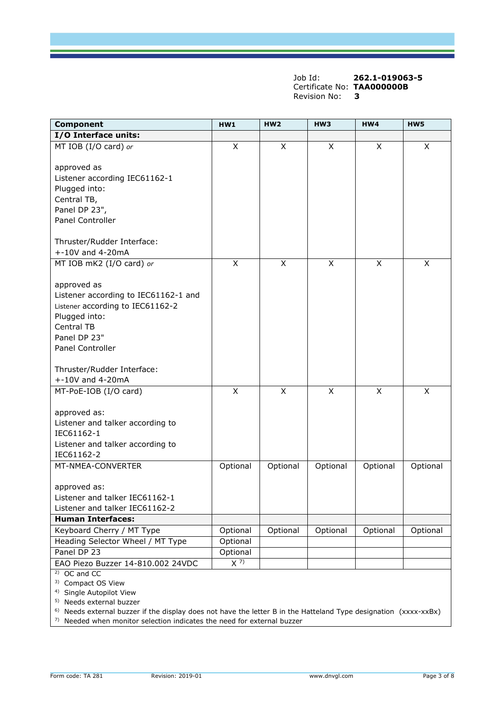| <b>Component</b>                     | HW1                     | HW2                     | HW3            | HW4            | HW5      |
|--------------------------------------|-------------------------|-------------------------|----------------|----------------|----------|
| I/O Interface units:                 |                         |                         |                |                |          |
| MT IOB (I/O card) or                 | X                       | X                       | X              | X              | X        |
|                                      |                         |                         |                |                |          |
| approved as                          |                         |                         |                |                |          |
| Listener according IEC61162-1        |                         |                         |                |                |          |
| Plugged into:                        |                         |                         |                |                |          |
| Central TB,                          |                         |                         |                |                |          |
| Panel DP 23",                        |                         |                         |                |                |          |
| <b>Panel Controller</b>              |                         |                         |                |                |          |
|                                      |                         |                         |                |                |          |
| Thruster/Rudder Interface:           |                         |                         |                |                |          |
| $+ -10V$ and 4-20mA                  |                         |                         |                |                |          |
| MT IOB mK2 (I/O card) or             | $\overline{\mathsf{x}}$ | $\overline{\mathsf{x}}$ | $\overline{X}$ | $\overline{X}$ | X        |
|                                      |                         |                         |                |                |          |
| approved as                          |                         |                         |                |                |          |
| Listener according to IEC61162-1 and |                         |                         |                |                |          |
| Listener according to IEC61162-2     |                         |                         |                |                |          |
| Plugged into:                        |                         |                         |                |                |          |
| <b>Central TB</b>                    |                         |                         |                |                |          |
| Panel DP 23"                         |                         |                         |                |                |          |
| <b>Panel Controller</b>              |                         |                         |                |                |          |
|                                      |                         |                         |                |                |          |
| Thruster/Rudder Interface:           |                         |                         |                |                |          |
| $+ -10V$ and 4-20mA                  |                         |                         |                |                |          |
| MT-PoE-IOB (I/O card)                | $\pmb{\times}$          | X                       | X              | X              | X        |
|                                      |                         |                         |                |                |          |
| approved as:                         |                         |                         |                |                |          |
| Listener and talker according to     |                         |                         |                |                |          |
| IEC61162-1                           |                         |                         |                |                |          |
| Listener and talker according to     |                         |                         |                |                |          |
| IEC61162-2                           |                         |                         |                |                |          |
| MT-NMEA-CONVERTER                    | Optional                | Optional                | Optional       | Optional       | Optional |
|                                      |                         |                         |                |                |          |
| approved as:                         |                         |                         |                |                |          |
| Listener and talker IEC61162-1       |                         |                         |                |                |          |
| Listener and talker IEC61162-2       |                         |                         |                |                |          |
| <b>Human Interfaces:</b>             |                         |                         |                |                |          |
| Keyboard Cherry / MT Type            | Optional                | Optional                | Optional       | Optional       | Optional |
| Heading Selector Wheel / MT Type     | Optional                |                         |                |                |          |
| Panel DP 23                          | Optional                |                         |                |                |          |
| EAO Piezo Buzzer 14-810.002 24VDC    | $\overline{X^{7}}$      |                         |                |                |          |
| $2)$ OC and CC                       |                         |                         |                |                |          |
| <sup>3)</sup> Compact OS View        |                         |                         |                |                |          |
| <sup>4)</sup> Single Autopilot View  |                         |                         |                |                |          |
| <sup>5)</sup> Needs external buzzer  |                         |                         |                |                |          |

6) Needs external buzzer if the display does not have the letter B in the Hatteland Type designation (xxxx-xxBx) 7) Needed when monitor selection indicates the need for external buzzer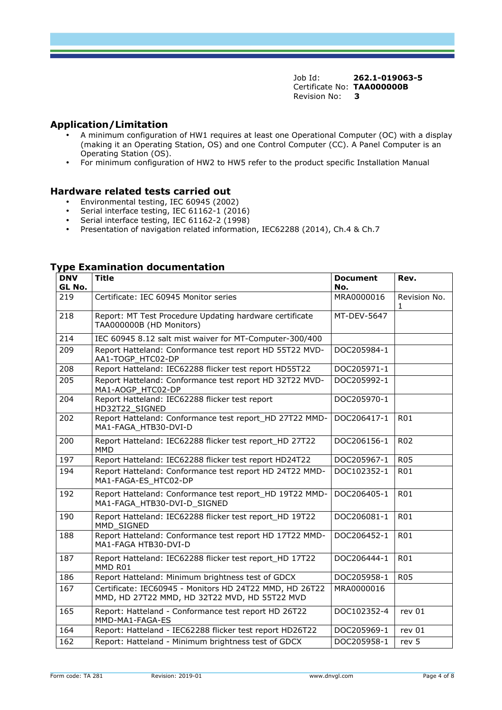# **Application/Limitation**

- A minimum configuration of HW1 requires at least one Operational Computer (OC) with a display (making it an Operating Station, OS) and one Control Computer (CC). A Panel Computer is an Operating Station (OS).
- For minimum configuration of HW2 to HW5 refer to the product specific Installation Manual

### **Hardware related tests carried out**

- Environmental testing, IEC 60945 (2002)
- Serial interface testing, IEC 61162-1 (2016)
- Serial interface testing, IEC 61162-2 (1998)
- Presentation of navigation related information, IEC62288 (2014), Ch.4 & Ch.7

| <b>DNV</b><br>GL No. | <b>Title</b>                                                                                             | <b>Document</b><br>No. | Rev.              |
|----------------------|----------------------------------------------------------------------------------------------------------|------------------------|-------------------|
| 219                  | Certificate: IEC 60945 Monitor series                                                                    | MRA0000016             | Revision No.<br>1 |
| 218                  | Report: MT Test Procedure Updating hardware certificate<br>TAA000000B (HD Monitors)                      | MT-DEV-5647            |                   |
| 214                  | IEC 60945 8.12 salt mist waiver for MT-Computer-300/400                                                  |                        |                   |
| 209                  | Report Hatteland: Conformance test report HD 55T22 MVD-<br>AA1-TOGP HTC02-DP                             | DOC205984-1            |                   |
| 208                  | Report Hatteland: IEC62288 flicker test report HD55T22                                                   | DOC205971-1            |                   |
| 205                  | Report Hatteland: Conformance test report HD 32T22 MVD-<br>MA1-AOGP HTC02-DP                             | DOC205992-1            |                   |
| 204                  | Report Hatteland: IEC62288 flicker test report<br>HD32T22_SIGNED                                         | DOC205970-1            |                   |
| 202                  | Report Hatteland: Conformance test report HD 27T22 MMD-<br>MA1-FAGA HTB30-DVI-D                          | DOC206417-1            | <b>R01</b>        |
| 200                  | Report Hatteland: IEC62288 flicker test report_HD 27T22<br><b>MMD</b>                                    | DOC206156-1            | R <sub>02</sub>   |
| 197                  | Report Hatteland: IEC62288 flicker test report HD24T22                                                   | DOC205967-1            | <b>R05</b>        |
| 194                  | Report Hatteland: Conformance test report HD 24T22 MMD-<br>MA1-FAGA-ES_HTC02-DP                          | DOC102352-1            | R01               |
| 192                  | Report Hatteland: Conformance test report_HD 19T22 MMD-<br>MA1-FAGA HTB30-DVI-D SIGNED                   | DOC206405-1            | <b>R01</b>        |
| 190                  | Report Hatteland: IEC62288 flicker test report HD 19T22<br>MMD SIGNED                                    | DOC206081-1            | <b>R01</b>        |
| 188                  | Report Hatteland: Conformance test report HD 17T22 MMD-<br>MA1-FAGA HTB30-DVI-D                          | DOC206452-1            | <b>R01</b>        |
| 187                  | Report Hatteland: IEC62288 flicker test report_HD 17T22<br>MMD R01                                       | DOC206444-1            | <b>R01</b>        |
| 186                  | Report Hatteland: Minimum brightness test of GDCX                                                        | DOC205958-1            | <b>R05</b>        |
| 167                  | Certificate: IEC60945 - Monitors HD 24T22 MMD, HD 26T22<br>MMD, HD 27T22 MMD, HD 32T22 MVD, HD 55T22 MVD | MRA0000016             |                   |
| 165                  | Report: Hatteland - Conformance test report HD 26T22<br>MMD-MA1-FAGA-ES                                  | DOC102352-4            | rev 01            |
| 164                  | Report: Hatteland - IEC62288 flicker test report HD26T22                                                 | DOC205969-1            | rev 01            |
| 162                  | Report: Hatteland - Minimum brightness test of GDCX                                                      | DOC205958-1            | rev 5             |

# **Type Examination documentation**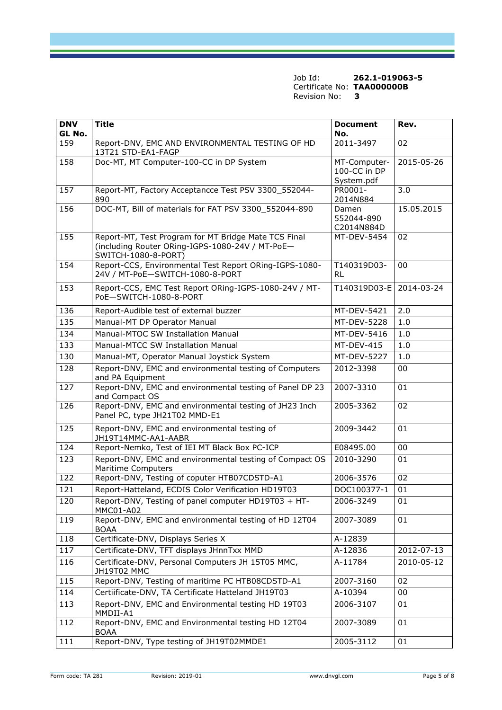| <b>DNV</b><br>GL No. | <b>Title</b>                                                                                                                   | <b>Document</b><br>No.                     | Rev.       |
|----------------------|--------------------------------------------------------------------------------------------------------------------------------|--------------------------------------------|------------|
| 159                  | Report-DNV, EMC AND ENVIRONMENTAL TESTING OF HD<br>13T21 STD-EA1-FAGP                                                          | $2011 - 3497$                              | 02         |
| 158                  | Doc-MT, MT Computer-100-CC in DP System                                                                                        | MT-Computer-<br>100-CC in DP<br>System.pdf | 2015-05-26 |
| 157                  | Report-MT, Factory Acceptancce Test PSV 3300_552044-<br>890                                                                    | PR0001-<br>2014N884                        | 3.0        |
| 156                  | DOC-MT, Bill of materials for FAT PSV 3300 552044-890                                                                          | Damen<br>552044-890<br>C2014N884D          | 15.05.2015 |
| 155                  | Report-MT, Test Program for MT Bridge Mate TCS Final<br>(including Router ORing-IGPS-1080-24V / MT-PoE-<br>SWITCH-1080-8-PORT) | MT-DEV-5454                                | 02         |
| 154                  | Report-CCS, Environmental Test Report ORing-IGPS-1080-<br>24V / MT-PoE-SWITCH-1080-8-PORT                                      | T140319D03-<br>RL                          | 00         |
| 153                  | Report-CCS, EMC Test Report ORing-IGPS-1080-24V / MT-<br>PoE-SWITCH-1080-8-PORT                                                | T140319D03-E                               | 2014-03-24 |
| 136                  | Report-Audible test of external buzzer                                                                                         | MT-DEV-5421                                | 2.0        |
| 135                  | Manual-MT DP Operator Manual                                                                                                   | MT-DEV-5228                                | 1.0        |
| 134                  | Manual-MTOC SW Installation Manual                                                                                             | MT-DEV-5416                                | 1.0        |
| 133                  | Manual-MTCC SW Installation Manual                                                                                             | MT-DEV-415                                 | 1.0        |
| 130                  | Manual-MT, Operator Manual Joystick System                                                                                     | <b>MT-DEV-5227</b>                         | 1.0        |
| 128                  | Report-DNV, EMC and environmental testing of Computers<br>and PA Equipment                                                     | 2012-3398                                  | 00         |
| 127                  | Report-DNV, EMC and environmental testing of Panel DP 23<br>and Compact OS                                                     | 2007-3310                                  | 01         |
| 126                  | Report-DNV, EMC and environmental testing of JH23 Inch<br>Panel PC, type JH21T02 MMD-E1                                        | 2005-3362                                  | 02         |
| 125                  | Report-DNV, EMC and environmental testing of<br>JH19T14MMC-AA1-AABR                                                            | 2009-3442                                  | 01         |
| 124                  | Report-Nemko, Test of IEI MT Black Box PC-ICP                                                                                  | E08495.00                                  | 00         |
| 123                  | Report-DNV, EMC and environmental testing of Compact OS<br><b>Maritime Computers</b>                                           | 2010-3290                                  | 01         |
| 122                  | Report-DNV, Testing of coputer HTB07CDSTD-A1                                                                                   | 2006-3576                                  | 02         |
| 121                  | Report-Hatteland, ECDIS Color Verification HD19T03                                                                             | DOC100377-1                                | 01         |
| 120                  | Report-DNV, Testing of panel computer HD19T03 + HT-<br>MMC01-A02                                                               | 2006-3249                                  | 01         |
| 119                  | Report-DNV, EMC and environmental testing of HD 12T04<br><b>BOAA</b>                                                           | 2007-3089                                  | 01         |
| 118                  | Certificate-DNV, Displays Series X                                                                                             | A-12839                                    |            |
| 117                  | Certificate-DNV, TFT displays JHnnTxx MMD                                                                                      | A-12836                                    | 2012-07-13 |
| 116                  | Certificate-DNV, Personal Computers JH 15T05 MMC,<br>JH19T02 MMC                                                               | A-11784                                    | 2010-05-12 |
| 115                  | Report-DNV, Testing of maritime PC HTB08CDSTD-A1                                                                               | 2007-3160                                  | 02         |
| 114                  | Certiificate-DNV, TA Certificate Hatteland JH19T03                                                                             | A-10394                                    | 00         |
| 113                  | Report-DNV, EMC and Environmental testing HD 19T03<br>MMDII-A1                                                                 | 2006-3107                                  | 01         |
| 112                  | Report-DNV, EMC and Environmental testing HD 12T04<br><b>BOAA</b>                                                              | 2007-3089                                  | 01         |
| 111                  | Report-DNV, Type testing of JH19T02MMDE1                                                                                       | 2005-3112                                  | 01         |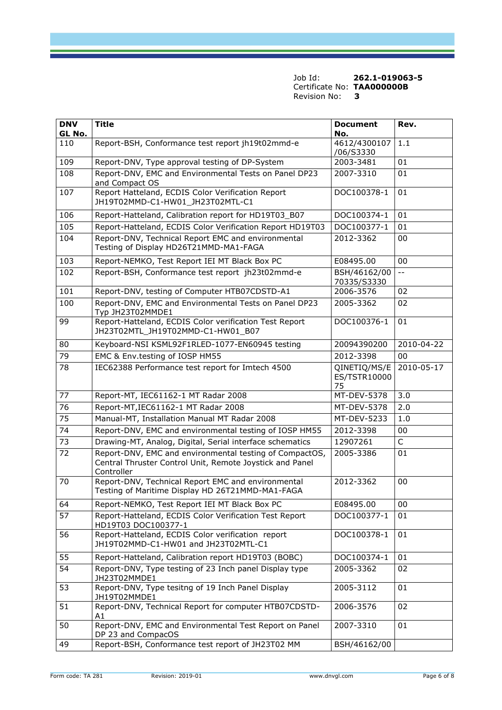| <b>DNV</b> | <b>Title</b>                                                                                                                      | <b>Document</b>                    | Rev.       |
|------------|-----------------------------------------------------------------------------------------------------------------------------------|------------------------------------|------------|
| GL No.     |                                                                                                                                   | No.<br>4612/4300107                | 1.1        |
| 110        | Report-BSH, Conformance test report jh19t02mmd-e                                                                                  | /06/S3330                          |            |
| 109        | Report-DNV, Type approval testing of DP-System                                                                                    | 2003-3481                          | 01         |
| 108        | Report-DNV, EMC and Environmental Tests on Panel DP23<br>and Compact OS                                                           | 2007-3310                          | 01         |
| 107        | Report Hatteland, ECDIS Color Verification Report<br>JH19T02MMD-C1-HW01 JH23T02MTL-C1                                             | DOC100378-1                        | 01         |
| 106        | Report-Hatteland, Calibration report for HD19T03_B07                                                                              | DOC100374-1                        | 01         |
| 105        | Report-Hatteland, ECDIS Color Verification Report HD19T03                                                                         | DOC100377-1                        | 01         |
| 104        | Report-DNV, Technical Report EMC and environmental<br>Testing of Display HD26T21MMD-MA1-FAGA                                      | 2012-3362                          | 00         |
| 103        | Report-NEMKO, Test Report IEI MT Black Box PC                                                                                     | E08495.00                          | 00         |
| 102        | Report-BSH, Conformance test report jh23t02mmd-e                                                                                  | BSH/46162/00<br>70335/S3330        | $-$        |
| 101        | Report-DNV, testing of Computer HTB07CDSTD-A1                                                                                     | 2006-3576                          | 02         |
| 100        | Report-DNV, EMC and Environmental Tests on Panel DP23<br>Typ JH23T02MMDE1                                                         | 2005-3362                          | 02         |
| 99         | Report-Hatteland, ECDIS Color verification Test Report<br>JH23T02MTL JH19T02MMD-C1-HW01 B07                                       | DOC100376-1                        | 01         |
| 80         | Keyboard-NSI KSML92F1RLED-1077-EN60945 testing                                                                                    | 20094390200                        | 2010-04-22 |
| 79         | EMC & Env.testing of IOSP HM55                                                                                                    | 2012-3398                          | 00         |
| 78         | IEC62388 Performance test report for Imtech 4500                                                                                  | QINETIQ/MS/E<br>ES/TSTR10000<br>75 | 2010-05-17 |
| 77         | Report-MT, IEC61162-1 MT Radar 2008                                                                                               | MT-DEV-5378                        | 3.0        |
| 76         | Report-MT, IEC61162-1 MT Radar 2008                                                                                               | MT-DEV-5378                        | 2.0        |
| 75         | Manual-MT, Installation Manual MT Radar 2008                                                                                      | MT-DEV-5233                        | 1.0        |
| 74         | Report-DNV, EMC and environmental testing of IOSP HM55                                                                            | 2012-3398                          | 00         |
| 73         | Drawing-MT, Analog, Digital, Serial interface schematics                                                                          | 12907261                           | C          |
| 72         | Report-DNV, EMC and environmental testing of CompactOS,<br>Central Thruster Control Unit, Remote Joystick and Panel<br>Controller | 2005-3386                          | 01         |
| 70         | Report-DNV, Technical Report EMC and environmental<br>Testing of Maritime Display HD 26T21MMD-MA1-FAGA                            | 2012-3362                          | 00         |
| 64         | Report-NEMKO, Test Report IEI MT Black Box PC                                                                                     | E08495.00                          | 00         |
| 57         | Report-Hatteland, ECDIS Color Verification Test Report<br>HD19T03 DOC100377-1                                                     | DOC100377-1                        | 01         |
| 56         | Report-Hatteland, ECDIS Color verification report<br>JH19T02MMD-C1-HW01 and JH23T02MTL-C1                                         | DOC100378-1                        | 01         |
| 55         | Report-Hatteland, Calibration report HD19T03 (BOBC)                                                                               | DOC100374-1                        | 01         |
| 54         | Report-DNV, Type testing of 23 Inch panel Display type<br>JH23T02MMDE1                                                            | 2005-3362                          | 02         |
| 53         | Report-DNV, Type tesitng of 19 Inch Panel Display<br>JH19T02MMDE1                                                                 | 2005-3112                          | 01         |
| 51         | Report-DNV, Technical Report for computer HTB07CDSTD-<br>A1                                                                       | 2006-3576                          | 02         |
| 50         | Report-DNV, EMC and Environmental Test Report on Panel<br>DP 23 and CompacOS                                                      | 2007-3310                          | 01         |
| 49         | Report-BSH, Conformance test report of JH23T02 MM                                                                                 | BSH/46162/00                       |            |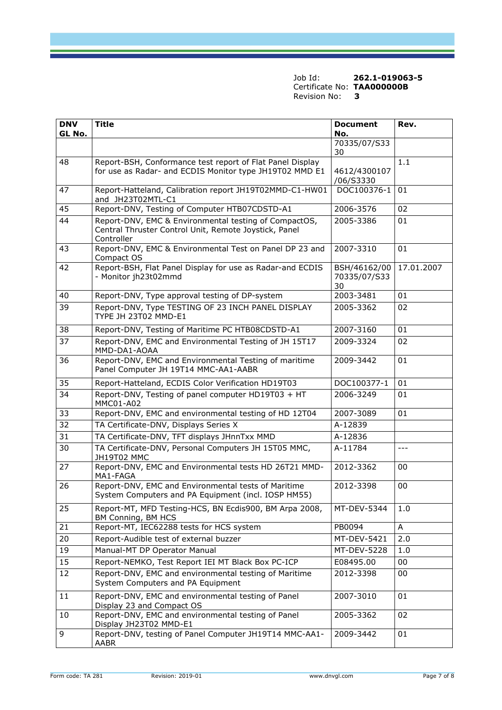| <b>DNV</b><br>GL No. | <b>Title</b>                                                                                                                 | <b>Document</b><br>No.             | Rev.       |
|----------------------|------------------------------------------------------------------------------------------------------------------------------|------------------------------------|------------|
|                      |                                                                                                                              | 70335/07/S33<br>30                 |            |
| 48                   | Report-BSH, Conformance test report of Flat Panel Display                                                                    |                                    | 1.1        |
|                      | for use as Radar- and ECDIS Monitor type JH19T02 MMD E1                                                                      | 4612/4300107<br>/06/S3330          |            |
| 47                   | Report-Hatteland, Calibration report JH19T02MMD-C1-HW01<br>and JH23T02MTL-C1                                                 | DOC100376-1                        | 01         |
| 45                   | Report-DNV, Testing of Computer HTB07CDSTD-A1                                                                                | 2006-3576                          | 02         |
| 44                   | Report-DNV, EMC & Environmental testing of CompactOS,<br>Central Thruster Control Unit, Remote Joystick, Panel<br>Controller | 2005-3386                          | 01         |
| 43                   | Report-DNV, EMC & Environmental Test on Panel DP 23 and<br>Compact OS                                                        | 2007-3310                          | 01         |
| 42                   | Report-BSH, Flat Panel Display for use as Radar-and ECDIS<br>- Monitor jh23t02mmd                                            | BSH/46162/00<br>70335/07/S33<br>30 | 17.01.2007 |
| 40                   | Report-DNV, Type approval testing of DP-system                                                                               | 2003-3481                          | 01         |
| 39                   | Report-DNV, Type TESTING OF 23 INCH PANEL DISPLAY<br><b>TYPE JH 23T02 MMD-E1</b>                                             | 2005-3362                          | 02         |
| 38                   | Report-DNV, Testing of Maritime PC HTB08CDSTD-A1                                                                             | 2007-3160                          | 01         |
| 37                   | Report-DNV, EMC and Environmental Testing of JH 15T17<br>MMD-DA1-AOAA                                                        | 2009-3324                          | 02         |
| 36                   | Report-DNV, EMC and Environmental Testing of maritime<br>Panel Computer JH 19T14 MMC-AA1-AABR                                | 2009-3442                          | 01         |
| 35                   | Report-Hatteland, ECDIS Color Verification HD19T03                                                                           | DOC100377-1                        | 01         |
| 34                   | Report-DNV, Testing of panel computer HD19T03 + HT<br>MMC01-A02                                                              | 2006-3249                          | 01         |
| 33                   | Report-DNV, EMC and environmental testing of HD 12T04                                                                        | 2007-3089                          | 01         |
| 32                   | TA Certificate-DNV, Displays Series X                                                                                        | A-12839                            |            |
| 31                   | TA Certificate-DNV, TFT displays JHnnTxx MMD                                                                                 | A-12836                            |            |
| 30                   | TA Certificate-DNV, Personal Computers JH 15T05 MMC,<br>JH19T02 MMC                                                          | A-11784                            | $---$      |
| 27                   | Report-DNV, EMC and Environmental tests HD 26T21 MMD-<br>MA1-FAGA                                                            | 2012-3362                          | 00         |
| 26                   | Report-DNV, EMC and Environmental tests of Maritime<br>System Computers and PA Equipment (incl. IOSP HM55)                   | 2012-3398                          | 00         |
| 25                   | Report-MT, MFD Testing-HCS, BN Ecdis900, BM Arpa 2008,<br>BM Conning, BM HCS                                                 | MT-DEV-5344                        | 1.0        |
| 21                   | Report-MT, IEC62288 tests for HCS system                                                                                     | PB0094                             | A          |
| 20                   | Report-Audible test of external buzzer                                                                                       | MT-DEV-5421                        | 2.0        |
| 19                   | Manual-MT DP Operator Manual                                                                                                 | MT-DEV-5228                        | 1.0        |
| 15                   | Report-NEMKO, Test Report IEI MT Black Box PC-ICP                                                                            | E08495.00                          | 00         |
| 12                   | Report-DNV, EMC and environmental testing of Maritime<br>System Computers and PA Equipment                                   | 2012-3398                          | 00         |
| 11                   | Report-DNV, EMC and environmental testing of Panel<br>Display 23 and Compact OS                                              | 2007-3010                          | 01         |
| 10                   | Report-DNV, EMC and environmental testing of Panel<br>Display JH23T02 MMD-E1                                                 | 2005-3362                          | 02         |
| 9                    | Report-DNV, testing of Panel Computer JH19T14 MMC-AA1-<br>AABR                                                               | 2009-3442                          | 01         |